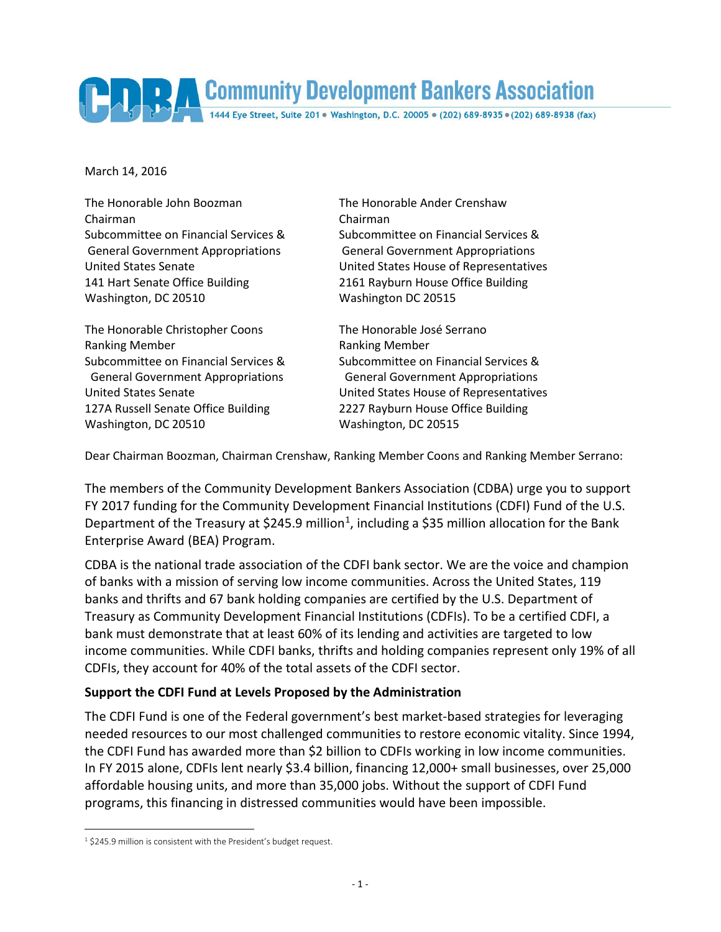Community Development Bankers Association

March 14, 2016

The Honorable John Boozman The Honorable Ander Crenshaw Chairman Chairman 141 Hart Senate Office Building 2161 Rayburn House Office Building Washington, DC 20510 Washington DC 20515

The Honorable Christopher Coons The Honorable José Serrano Ranking Member **Ranking Member** 127A Russell Senate Office Building 2227 Rayburn House Office Building Washington, DC 20510 Washington, DC 20515

Subcommittee on Financial Services & Subcommittee on Financial Services & General Government Appropriations General Government Appropriations United States Senate United States House of Representatives

Subcommittee on Financial Services & Subcommittee on Financial Services & General Government Appropriations General Government Appropriations United States Senate United States House of Representatives

Dear Chairman Boozman, Chairman Crenshaw, Ranking Member Coons and Ranking Member Serrano:

The members of the Community Development Bankers Association (CDBA) urge you to support FY 2017 funding for the Community Development Financial Institutions (CDFI) Fund of the U.S. Department of the Treasury at \$245.9 million<sup>[1](#page-0-0)</sup>, including a \$35 million allocation for the Bank Enterprise Award (BEA) Program.

CDBA is the national trade association of the CDFI bank sector. We are the voice and champion of banks with a mission of serving low income communities. Across the United States, 119 banks and thrifts and 67 bank holding companies are certified by the U.S. Department of Treasury as Community Development Financial Institutions (CDFIs). To be a certified CDFI, a bank must demonstrate that at least 60% of its lending and activities are targeted to low income communities. While CDFI banks, thrifts and holding companies represent only 19% of all CDFIs, they account for 40% of the total assets of the CDFI sector.

## **Support the CDFI Fund at Levels Proposed by the Administration**

The CDFI Fund is one of the Federal government's best market-based strategies for leveraging needed resources to our most challenged communities to restore economic vitality. Since 1994, the CDFI Fund has awarded more than \$2 billion to CDFIs working in low income communities. In FY 2015 alone, CDFIs lent nearly \$3.4 billion, financing 12,000+ small businesses, over 25,000 affordable housing units, and more than 35,000 jobs. Without the support of CDFI Fund programs, this financing in distressed communities would have been impossible.

<span id="page-0-0"></span><sup>1</sup> \$245.9 million is consistent with the President's budget request.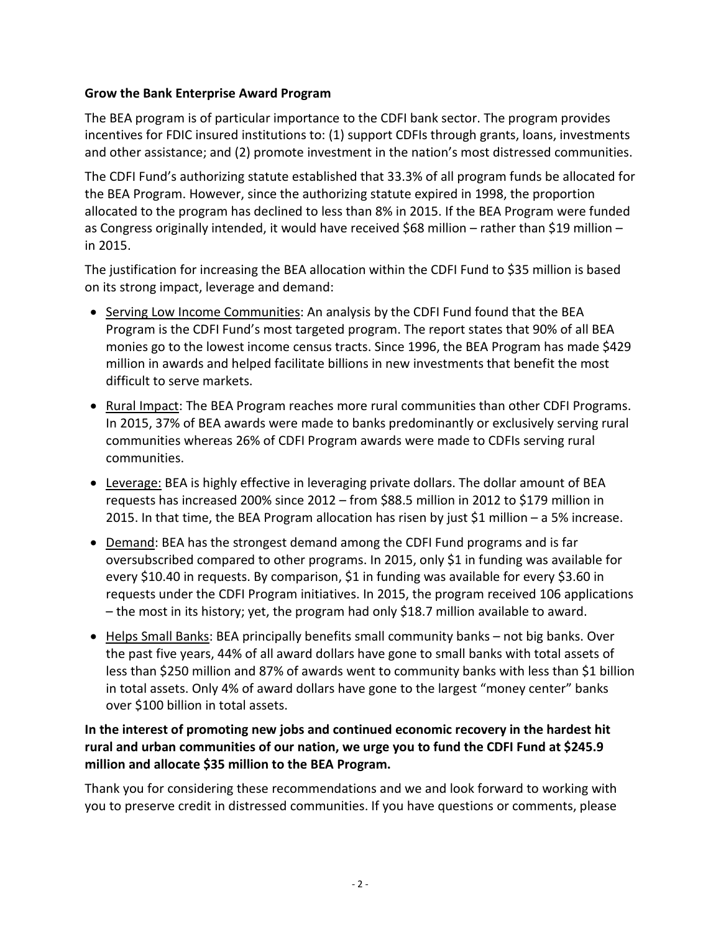## **Grow the Bank Enterprise Award Program**

The BEA program is of particular importance to the CDFI bank sector. The program provides incentives for FDIC insured institutions to: (1) support CDFIs through grants, loans, investments and other assistance; and (2) promote investment in the nation's most distressed communities.

The CDFI Fund's authorizing statute established that 33.3% of all program funds be allocated for the BEA Program. However, since the authorizing statute expired in 1998, the proportion allocated to the program has declined to less than 8% in 2015. If the BEA Program were funded as Congress originally intended, it would have received \$68 million – rather than \$19 million – in 2015.

The justification for increasing the BEA allocation within the CDFI Fund to \$35 million is based on its strong impact, leverage and demand:

- Serving Low Income Communities: An analysis by the CDFI Fund found that the BEA Program is the CDFI Fund's most targeted program. The report states that 90% of all BEA monies go to the lowest income census tracts. Since 1996, the BEA Program has made \$429 million in awards and helped facilitate billions in new investments that benefit the most difficult to serve markets.
- Rural Impact: The BEA Program reaches more rural communities than other CDFI Programs. In 2015, 37% of BEA awards were made to banks predominantly or exclusively serving rural communities whereas 26% of CDFI Program awards were made to CDFIs serving rural communities.
- Leverage: BEA is highly effective in leveraging private dollars. The dollar amount of BEA requests has increased 200% since 2012 – from \$88.5 million in 2012 to \$179 million in 2015. In that time, the BEA Program allocation has risen by just \$1 million – a 5% increase.
- Demand: BEA has the strongest demand among the CDFI Fund programs and is far oversubscribed compared to other programs. In 2015, only \$1 in funding was available for every \$10.40 in requests. By comparison, \$1 in funding was available for every \$3.60 in requests under the CDFI Program initiatives. In 2015, the program received 106 applications – the most in its history; yet, the program had only \$18.7 million available to award.
- Helps Small Banks: BEA principally benefits small community banks not big banks. Over the past five years, 44% of all award dollars have gone to small banks with total assets of less than \$250 million and 87% of awards went to community banks with less than \$1 billion in total assets. Only 4% of award dollars have gone to the largest "money center" banks over \$100 billion in total assets.

## **In the interest of promoting new jobs and continued economic recovery in the hardest hit rural and urban communities of our nation, we urge you to fund the CDFI Fund at \$245.9 million and allocate \$35 million to the BEA Program.**

Thank you for considering these recommendations and we and look forward to working with you to preserve credit in distressed communities. If you have questions or comments, please